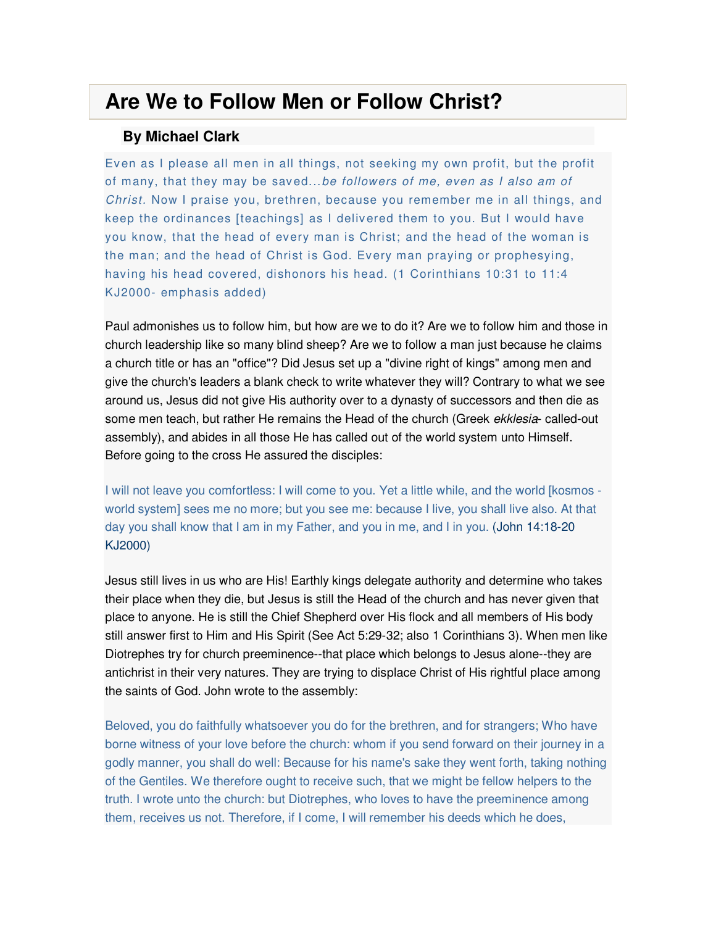## **Are We to Follow Men or Follow Christ?**

## **By Michael Clark**

Ev en as I please all men in all things, not seeking my own profit, but the profit of many, that they may be saved...be followers of me, even as I also am of Christ. Now I praise you, brethren, because you remember me in all things, and keep the ordinances [teachings] as I deliv ered them to you. But I would have you know, that the head of every man is Christ; and the head of the woman is the man; and the head of Christ is God. Every man praying or prophesying, having his head covered, dishonors his head. (1 Corinthians 10:31 to 11:4 KJ2000- emphasis added)

Paul admonishes us to follow him, but how are we to do it? Are we to follow him and those in church leadership like so many blind sheep? Are we to follow a man just because he claims a church title or has an "office"? Did Jesus set up a "divine right of kings" among men and give the church's leaders a blank check to write whatever they will? Contrary to what we see around us, Jesus did not give His authority over to a dynasty of successors and then die as some men teach, but rather He remains the Head of the church (Greek ekklesia- called-out assembly), and abides in all those He has called out of the world system unto Himself. Before going to the cross He assured the disciples:

I will not leave you comfortless: I will come to you. Yet a little while, and the world [kosmos world system] sees me no more; but you see me: because I live, you shall live also. At that day you shall know that I am in my Father, and you in me, and I in you. (John 14:18-20 KJ2000)

Jesus still lives in us who are His! Earthly kings delegate authority and determine who takes their place when they die, but Jesus is still the Head of the church and has never given that place to anyone. He is still the Chief Shepherd over His flock and all members of His body still answer first to Him and His Spirit (See Act 5:29-32; also 1 Corinthians 3). When men like Diotrephes try for church preeminence--that place which belongs to Jesus alone--they are antichrist in their very natures. They are trying to displace Christ of His rightful place among the saints of God. John wrote to the assembly:

Beloved, you do faithfully whatsoever you do for the brethren, and for strangers; Who have borne witness of your love before the church: whom if you send forward on their journey in a godly manner, you shall do well: Because for his name's sake they went forth, taking nothing of the Gentiles. We therefore ought to receive such, that we might be fellow helpers to the truth. I wrote unto the church: but Diotrephes, who loves to have the preeminence among them, receives us not. Therefore, if I come, I will remember his deeds which he does,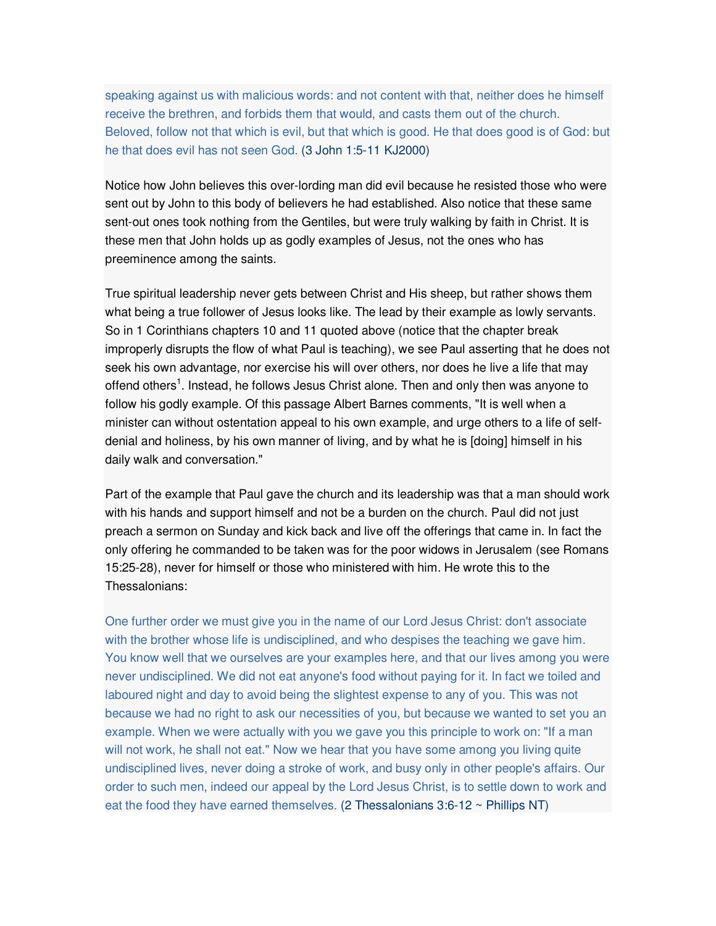speaking against us with malicious words: and not content with that, neither does he himself receive the brethren, and forbids them that would, and casts them out of the church. Beloved, follow not that which is evil, but that which is good. He that does good is of God: but he that does evil has not seen God. (3 John 1:5-11 KJ2000)

Notice how John believes this over-lording man did evil because he resisted those who were sent out by John to this body of believers he had established. Also notice that these same sent-out ones took nothing from the Gentiles, but were truly walking by faith in Christ. It is these men that John holds up as godly examples of Jesus, not the ones who has preeminence among the saints.

True spiritual leadership never gets between Christ and His sheep, but rather shows them what being a true follower of Jesus looks like. The lead by their example as lowly servants. So in 1 Corinthians chapters 10 and 11 quoted above (notice that the chapter break improperly disrupts the flow of what Paul is teaching), we see Paul asserting that he does not seek his own advantage, nor exercise his will over others, nor does he live a life that may offend others<sup>1</sup>. Instead, he follows Jesus Christ alone. Then and only then was anyone to follow his godly example. Of this passage Albert Barnes comments, "It is well when a minister can without ostentation appeal to his own example, and urge others to a life of selfdenial and holiness, by his own manner of living, and by what he is [doing] himself in his daily walk and conversation."

Part of the example that Paul gave the church and its leadership was that a man should work with his hands and support himself and not be a burden on the church. Paul did not just preach a sermon on Sunday and kick back and live off the offerings that came in. In fact the only offering he commanded to be taken was for the poor widows in Jerusalem (see Romans 15:25-28), never for himself or those who ministered with him. He wrote this to the Thessalonians:

One further order we must give you in the name of our Lord Jesus Christ: don't associate with the brother whose life is undisciplined, and who despises the teaching we gave him. You know well that we ourselves are your examples here, and that our lives among you were never undisciplined. We did not eat anyone's food without paying for it. In fact we toiled and laboured night and day to avoid being the slightest expense to any of you. This was not because we had no right to ask our necessities of you, but because we wanted to set you an example. When we were actually with you we gave you this principle to work on: "If a man will not work, he shall not eat." Now we hear that you have some among you living quite undisciplined lives, never doing a stroke of work, and busy only in other people's affairs. Our order to such men, indeed our appeal by the Lord Jesus Christ, is to settle down to work and eat the food they have earned themselves. (2 Thessalonians  $3:6-12 \sim$  Phillips NT)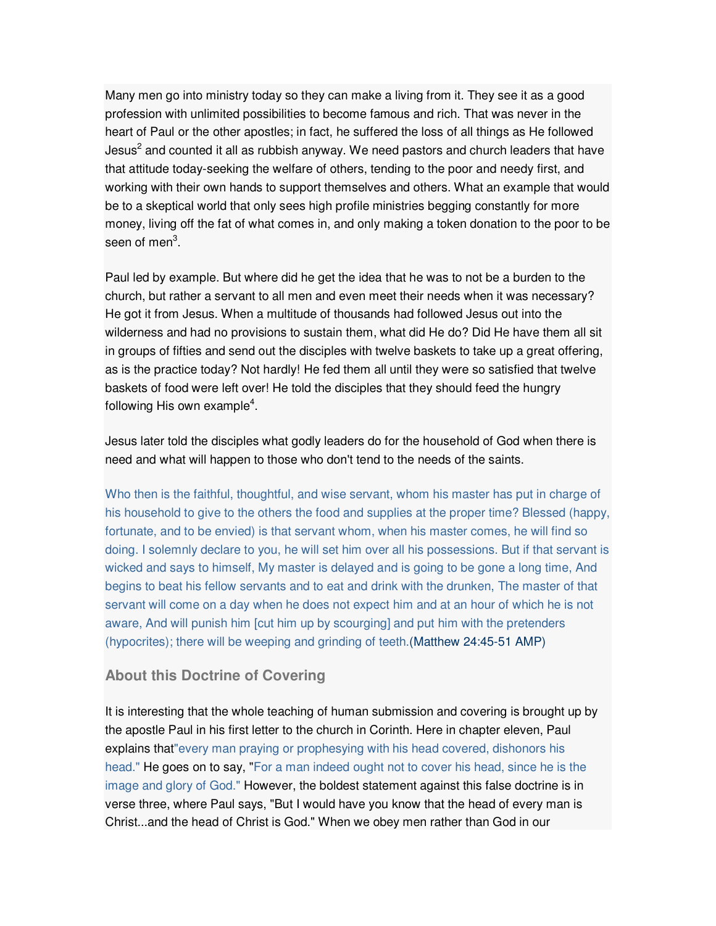Many men go into ministry today so they can make a living from it. They see it as a good profession with unlimited possibilities to become famous and rich. That was never in the heart of Paul or the other apostles; in fact, he suffered the loss of all things as He followed Jesus<sup>2</sup> and counted it all as rubbish anyway. We need pastors and church leaders that have that attitude today-seeking the welfare of others, tending to the poor and needy first, and working with their own hands to support themselves and others. What an example that would be to a skeptical world that only sees high profile ministries begging constantly for more money, living off the fat of what comes in, and only making a token donation to the poor to be seen of men<sup>3</sup>.

Paul led by example. But where did he get the idea that he was to not be a burden to the church, but rather a servant to all men and even meet their needs when it was necessary? He got it from Jesus. When a multitude of thousands had followed Jesus out into the wilderness and had no provisions to sustain them, what did He do? Did He have them all sit in groups of fifties and send out the disciples with twelve baskets to take up a great offering, as is the practice today? Not hardly! He fed them all until they were so satisfied that twelve baskets of food were left over! He told the disciples that they should feed the hungry following His own example<sup>4</sup>.

Jesus later told the disciples what godly leaders do for the household of God when there is need and what will happen to those who don't tend to the needs of the saints.

Who then is the faithful, thoughtful, and wise servant, whom his master has put in charge of his household to give to the others the food and supplies at the proper time? Blessed (happy, fortunate, and to be envied) is that servant whom, when his master comes, he will find so doing. I solemnly declare to you, he will set him over all his possessions. But if that servant is wicked and says to himself, My master is delayed and is going to be gone a long time, And begins to beat his fellow servants and to eat and drink with the drunken, The master of that servant will come on a day when he does not expect him and at an hour of which he is not aware, And will punish him [cut him up by scourging] and put him with the pretenders (hypocrites); there will be weeping and grinding of teeth.(Matthew 24:45-51 AMP)

## **About this Doctrine of Covering**

It is interesting that the whole teaching of human submission and covering is brought up by the apostle Paul in his first letter to the church in Corinth. Here in chapter eleven, Paul explains that"every man praying or prophesying with his head covered, dishonors his head." He goes on to say, "For a man indeed ought not to cover his head, since he is the image and glory of God." However, the boldest statement against this false doctrine is in verse three, where Paul says, "But I would have you know that the head of every man is Christ...and the head of Christ is God." When we obey men rather than God in our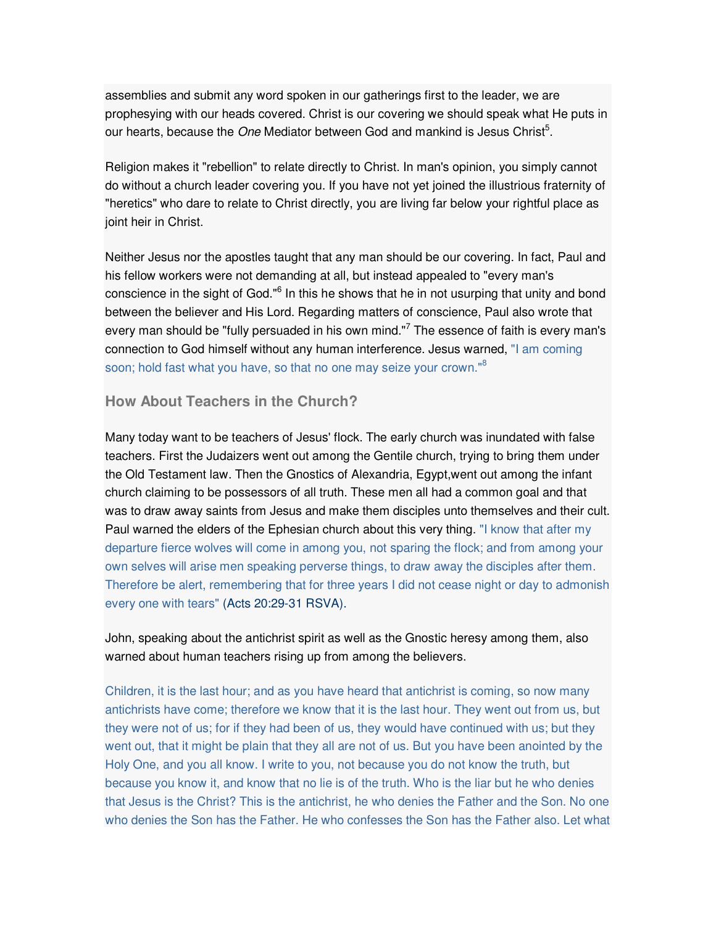assemblies and submit any word spoken in our gatherings first to the leader, we are prophesying with our heads covered. Christ is our covering we should speak what He puts in our hearts, because the One Mediator between God and mankind is Jesus Christ<sup>5</sup>.

Religion makes it "rebellion" to relate directly to Christ. In man's opinion, you simply cannot do without a church leader covering you. If you have not yet joined the illustrious fraternity of "heretics" who dare to relate to Christ directly, you are living far below your rightful place as joint heir in Christ.

Neither Jesus nor the apostles taught that any man should be our covering. In fact, Paul and his fellow workers were not demanding at all, but instead appealed to "every man's conscience in the sight of God."<sup>6</sup> In this he shows that he in not usurping that unity and bond between the believer and His Lord. Regarding matters of conscience, Paul also wrote that every man should be "fully persuaded in his own mind."<sup>7</sup> The essence of faith is every man's connection to God himself without any human interference. Jesus warned, "I am coming soon; hold fast what you have, so that no one may seize your crown."<sup>8</sup>

## **How About Teachers in the Church?**

Many today want to be teachers of Jesus' flock. The early church was inundated with false teachers. First the Judaizers went out among the Gentile church, trying to bring them under the Old Testament law. Then the Gnostics of Alexandria, Egypt,went out among the infant church claiming to be possessors of all truth. These men all had a common goal and that was to draw away saints from Jesus and make them disciples unto themselves and their cult. Paul warned the elders of the Ephesian church about this very thing. "I know that after my departure fierce wolves will come in among you, not sparing the flock; and from among your own selves will arise men speaking perverse things, to draw away the disciples after them. Therefore be alert, remembering that for three years I did not cease night or day to admonish every one with tears" (Acts 20:29-31 RSVA).

John, speaking about the antichrist spirit as well as the Gnostic heresy among them, also warned about human teachers rising up from among the believers.

Children, it is the last hour; and as you have heard that antichrist is coming, so now many antichrists have come; therefore we know that it is the last hour. They went out from us, but they were not of us; for if they had been of us, they would have continued with us; but they went out, that it might be plain that they all are not of us. But you have been anointed by the Holy One, and you all know. I write to you, not because you do not know the truth, but because you know it, and know that no lie is of the truth. Who is the liar but he who denies that Jesus is the Christ? This is the antichrist, he who denies the Father and the Son. No one who denies the Son has the Father. He who confesses the Son has the Father also. Let what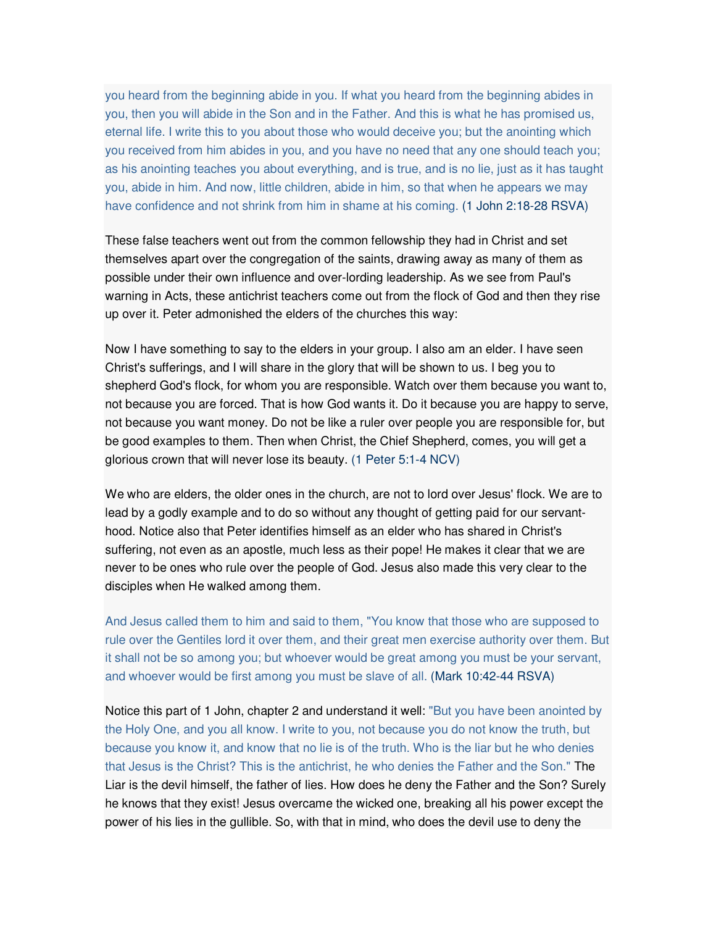you heard from the beginning abide in you. If what you heard from the beginning abides in you, then you will abide in the Son and in the Father. And this is what he has promised us, eternal life. I write this to you about those who would deceive you; but the anointing which you received from him abides in you, and you have no need that any one should teach you; as his anointing teaches you about everything, and is true, and is no lie, just as it has taught you, abide in him. And now, little children, abide in him, so that when he appears we may have confidence and not shrink from him in shame at his coming. (1 John 2:18-28 RSVA)

These false teachers went out from the common fellowship they had in Christ and set themselves apart over the congregation of the saints, drawing away as many of them as possible under their own influence and over-lording leadership. As we see from Paul's warning in Acts, these antichrist teachers come out from the flock of God and then they rise up over it. Peter admonished the elders of the churches this way:

Now I have something to say to the elders in your group. I also am an elder. I have seen Christ's sufferings, and I will share in the glory that will be shown to us. I beg you to shepherd God's flock, for whom you are responsible. Watch over them because you want to, not because you are forced. That is how God wants it. Do it because you are happy to serve, not because you want money. Do not be like a ruler over people you are responsible for, but be good examples to them. Then when Christ, the Chief Shepherd, comes, you will get a glorious crown that will never lose its beauty. (1 Peter 5:1-4 NCV)

We who are elders, the older ones in the church, are not to lord over Jesus' flock. We are to lead by a godly example and to do so without any thought of getting paid for our servanthood. Notice also that Peter identifies himself as an elder who has shared in Christ's suffering, not even as an apostle, much less as their pope! He makes it clear that we are never to be ones who rule over the people of God. Jesus also made this very clear to the disciples when He walked among them.

And Jesus called them to him and said to them, "You know that those who are supposed to rule over the Gentiles lord it over them, and their great men exercise authority over them. But it shall not be so among you; but whoever would be great among you must be your servant, and whoever would be first among you must be slave of all. (Mark 10:42-44 RSVA)

Notice this part of 1 John, chapter 2 and understand it well: "But you have been anointed by the Holy One, and you all know. I write to you, not because you do not know the truth, but because you know it, and know that no lie is of the truth. Who is the liar but he who denies that Jesus is the Christ? This is the antichrist, he who denies the Father and the Son." The Liar is the devil himself, the father of lies. How does he deny the Father and the Son? Surely he knows that they exist! Jesus overcame the wicked one, breaking all his power except the power of his lies in the gullible. So, with that in mind, who does the devil use to deny the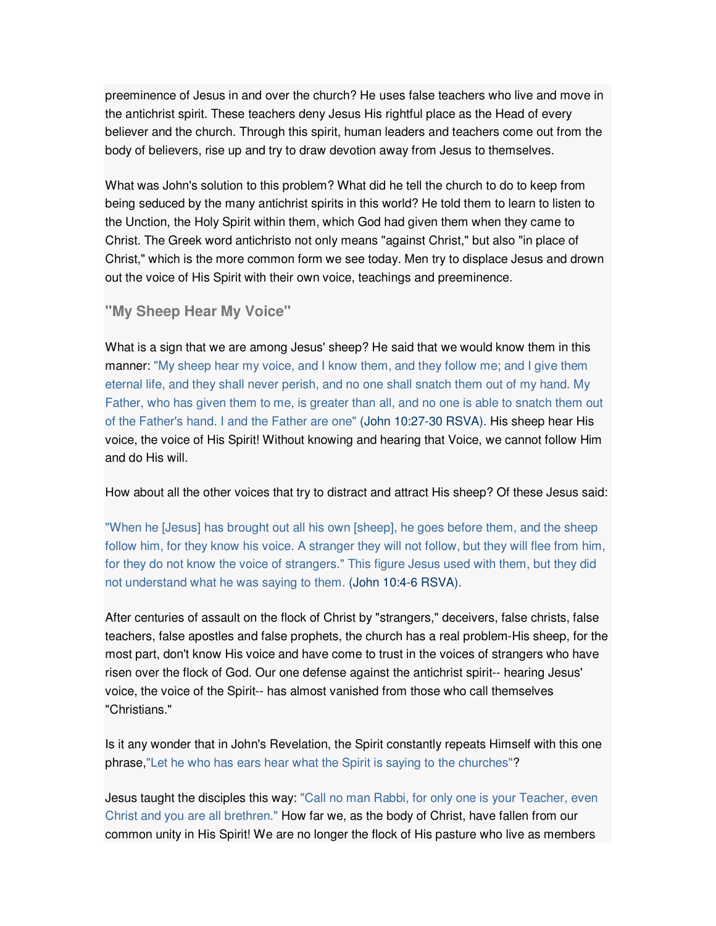preeminence of Jesus in and over the church? He uses false teachers who live and move in the antichrist spirit. These teachers deny Jesus His rightful place as the Head of every believer and the church. Through this spirit, human leaders and teachers come out from the body of believers, rise up and try to draw devotion away from Jesus to themselves.

What was John's solution to this problem? What did he tell the church to do to keep from being seduced by the many antichrist spirits in this world? He told them to learn to listen to the Unction, the Holy Spirit within them, which God had given them when they came to Christ. The Greek word antichristo not only means "against Christ," but also "in place of Christ," which is the more common form we see today. Men try to displace Jesus and drown out the voice of His Spirit with their own voice, teachings and preeminence.

**"My Sheep Hear My Voice"** 

What is a sign that we are among Jesus' sheep? He said that we would know them in this manner: "My sheep hear my voice, and I know them, and they follow me; and I give them eternal life, and they shall never perish, and no one shall snatch them out of my hand. My Father, who has given them to me, is greater than all, and no one is able to snatch them out of the Father's hand. I and the Father are one" (John 10:27-30 RSVA). His sheep hear His voice, the voice of His Spirit! Without knowing and hearing that Voice, we cannot follow Him and do His will.

How about all the other voices that try to distract and attract His sheep? Of these Jesus said:

"When he [Jesus] has brought out all his own [sheep], he goes before them, and the sheep follow him, for they know his voice. A stranger they will not follow, but they will flee from him, for they do not know the voice of strangers." This figure Jesus used with them, but they did not understand what he was saying to them. (John 10:4-6 RSVA).

After centuries of assault on the flock of Christ by "strangers," deceivers, false christs, false teachers, false apostles and false prophets, the church has a real problem-His sheep, for the most part, don't know His voice and have come to trust in the voices of strangers who have risen over the flock of God. Our one defense against the antichrist spirit-- hearing Jesus' voice, the voice of the Spirit-- has almost vanished from those who call themselves "Christians."

Is it any wonder that in John's Revelation, the Spirit constantly repeats Himself with this one phrase,"Let he who has ears hear what the Spirit is saying to the churches"?

Jesus taught the disciples this way: "Call no man Rabbi, for only one is your Teacher, even Christ and you are all brethren." How far we, as the body of Christ, have fallen from our common unity in His Spirit! We are no longer the flock of His pasture who live as members